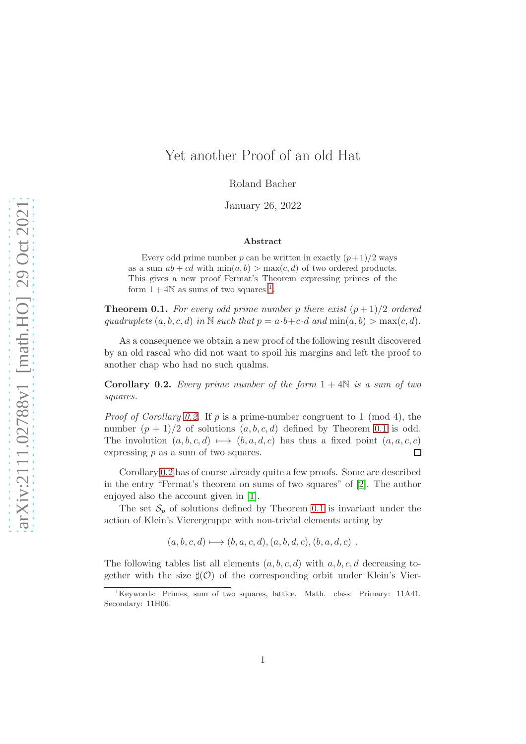# Yet another Proof of an old Hat

Roland Bacher

January 26, 2022

#### Abstract

Every odd prime number p can be written in exactly  $(p+1)/2$  ways as a sum  $ab + cd$  with  $\min(a, b) > \max(c, d)$  of two ordered products. This gives a new proof Fermat's Theorem expressing primes of the form  $1 + 4N$  $1 + 4N$  as sums of two squares <sup>1</sup>.

<span id="page-0-2"></span>**Theorem 0.1.** For every odd prime number p there exist  $(p+1)/2$  ordered quadruplets  $(a, b, c, d)$  in N such that  $p = a \cdot b + c \cdot d$  and  $\min(a, b) > \max(c, d)$ .

As a consequence we obtain a new proof of the following result discovered by an old rascal who did not want to spoil his margins and left the proof to another chap who had no such qualms.

<span id="page-0-1"></span>**Corollary 0.2.** Every prime number of the form  $1 + 4N$  is a sum of two squares.

*Proof of Corollary [0.2.](#page-0-1)* If p is a prime-number congruent to 1 (mod 4), the number  $(p+1)/2$  of solutions  $(a, b, c, d)$  defined by Theorem [0.1](#page-0-2) is odd. The involution  $(a, b, c, d) \mapsto (b, a, d, c)$  has thus a fixed point  $(a, a, c, c)$  expressing p as a sum of two squares. expressing p as a sum of two squares.

Corollary [0.2](#page-0-1) has of course already quite a few proofs. Some are described in the entry "Fermat's theorem on sums of two squares" of [\[2\]](#page-7-0). The author enjoyed also the account given in [\[1\]](#page-7-1).

The set  $S_p$  of solutions defined by Theorem [0.1](#page-0-2) is invariant under the action of Klein's Vierergruppe with non-trivial elements acting by

 $(a, b, c, d) \longmapsto (b, a, c, d), (a, b, d, c), (b, a, d, c)$ .

The following tables list all elements  $(a, b, c, d)$  with  $a, b, c, d$  decreasing together with the size  $\sharp(\mathcal{O})$  of the corresponding orbit under Klein's Vier-

<span id="page-0-0"></span><sup>&</sup>lt;sup>1</sup>Keywords: Primes, sum of two squares, lattice. Math. class: Primary: 11A41. Secondary: 11H06.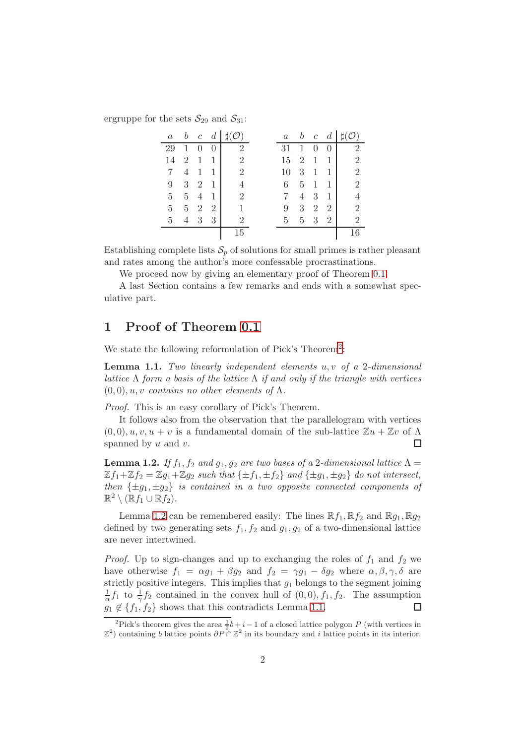ergruppe for the sets  $S_{29}$  and  $S_{31}$ :

| $\it a$ | $\boldsymbol{b}$ |                | $c \ d$        | $\sharp(\mathcal{O})$ | $\it a$ | $\boldsymbol{b}$ |   | $c \, d$       | $\sharp(\mathcal{O})$ |
|---------|------------------|----------------|----------------|-----------------------|---------|------------------|---|----------------|-----------------------|
| 29      | 1                | 0              | $\Omega$       | $\overline{2}$        | 31      | $\mathbf{1}$     | 0 | $\theta$       | $\overline{2}$        |
| 14      | 2                | $\mathbf{1}$   | 1              | $\overline{2}$        | 15      | 2                | 1 | 1              | $\overline{2}$        |
| 7       | $\overline{4}$   | 1              | 1              | $\overline{2}$        | 10      | 3                | 1 | 1              | $\overline{2}$        |
| 9       | 3                | $\overline{2}$ | 1              | 4                     | 6       | 5                | 1 |                | $\overline{2}$        |
| 5       | $5-5$            | $\overline{4}$ |                | $\overline{2}$        | 7       | $\overline{4}$   | 3 | 1              |                       |
| 5       |                  | $5\quad 2$     | $\overline{2}$ |                       | 9       | 3                | 2 | $\overline{2}$ | $\overline{2}$        |
| 5       | $\overline{4}$   | - 3            | 3              | $\overline{2}$        | 5       | 5 <sup>5</sup>   | 3 | $\overline{2}$ | $\overline{2}$        |
|         |                  |                |                | 15                    |         |                  |   |                | 16                    |

Establishing complete lists  $S_p$  of solutions for small primes is rather pleasant and rates among the author's more confessable procrastinations.

We proceed now by giving an elementary proof of Theorem [0.1.](#page-0-2)

A last Section contains a few remarks and ends with a somewhat speculative part.

## 1 Proof of Theorem [0.1](#page-0-2)

We state the following reformulation of Pick's Theorem<sup>[2](#page-1-0)</sup>:

<span id="page-1-2"></span>**Lemma 1.1.** Two linearly independent elements  $u, v$  of a 2-dimensional lattice  $\Lambda$  form a basis of the lattice  $\Lambda$  if and only if the triangle with vertices  $(0, 0), u, v$  contains no other elements of  $\Lambda$ .

Proof. This is an easy corollary of Pick's Theorem.

It follows also from the observation that the parallelogram with vertices  $(0,0), u, v, u + v$  is a fundamental domain of the sub-lattice  $\mathbb{Z}u + \mathbb{Z}v$  of  $\Lambda$ spanned by  $u$  and  $v$ .  $\Box$ 

<span id="page-1-1"></span>**Lemma 1.2.** If  $f_1$ ,  $f_2$  and  $g_1$ ,  $g_2$  are two bases of a 2-dimensional lattice  $\Lambda$  =  $\mathbb{Z}f_1+\mathbb{Z}f_2=\mathbb{Z}g_1+\mathbb{Z}g_2$  such that  $\{\pm f_1,\pm f_2\}$  and  $\{\pm g_1,\pm g_2\}$  do not intersect, then  $\{\pm g_1, \pm g_2\}$  is contained in a two opposite connected components of  $\mathbb{R}^2 \setminus (\mathbb{R} f_1 \cup \mathbb{R} f_2).$ 

Lemma [1.2](#page-1-1) can be remembered easily: The lines  $\mathbb{R} f_1, \mathbb{R} f_2$  and  $\mathbb{R} g_1, \mathbb{R} g_2$ defined by two generating sets  $f_1, f_2$  and  $g_1, g_2$  of a two-dimensional lattice are never intertwined.

*Proof.* Up to sign-changes and up to exchanging the roles of  $f_1$  and  $f_2$  we have otherwise  $f_1 = \alpha g_1 + \beta g_2$  and  $f_2 = \gamma g_1 - \delta g_2$  where  $\alpha, \beta, \gamma, \delta$  are strictly positive integers. This implies that  $g_1$  belongs to the segment joining  $\frac{1}{\alpha}f_1$  to  $\frac{1}{\gamma}f_2$  contained in the convex hull of  $(0,0), f_1, f_2$ . The assumption  $g_1 \notin \{f_1, f_2\}$  shows that this contradicts Lemma [1.1.](#page-1-2) П

<span id="page-1-0"></span><sup>&</sup>lt;sup>2</sup>Pick's theorem gives the area  $\frac{1}{2}b + i - 1$  of a closed lattice polygon P (with vertices in  $\mathbb{Z}^2$ ) containing b lattice points  $\partial P \cap \mathbb{Z}^2$  in its boundary and i lattice points in its interior.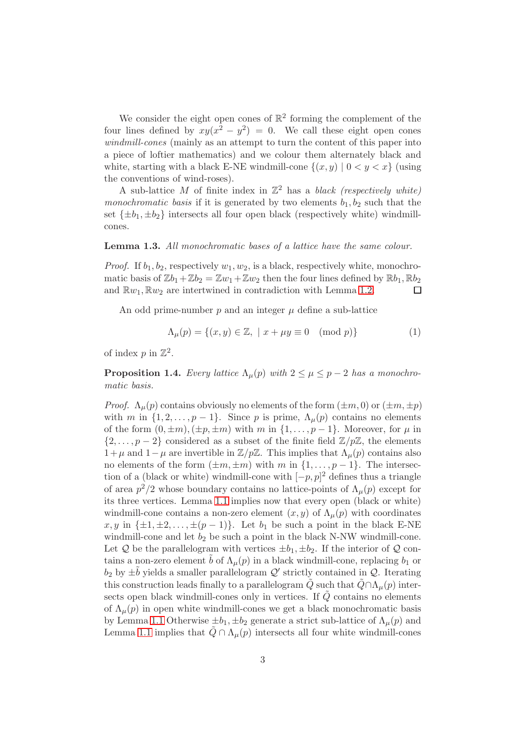We consider the eight open cones of  $\mathbb{R}^2$  forming the complement of the four lines defined by  $xy(x^2 - y^2) = 0$ . We call these eight open cones windmill-cones (mainly as an attempt to turn the content of this paper into a piece of loftier mathematics) and we colour them alternately black and white, starting with a black E-NE windmill-cone  $\{(x, y) | 0 < y < x\}$  (using the conventions of wind-roses).

A sub-lattice M of finite index in  $\mathbb{Z}^2$  has a black (respectively white) monochromatic basis if it is generated by two elements  $b_1, b_2$  such that the set  $\{\pm b_1, \pm b_2\}$  intersects all four open black (respectively white) windmillcones.

### <span id="page-2-1"></span>**Lemma 1.3.** All monochromatic bases of a lattice have the same colour.

*Proof.* If  $b_1, b_2$ , respectively  $w_1, w_2$ , is a black, respectively white, monochromatic basis of  $\mathbb{Z}b_1+\mathbb{Z}b_2 = \mathbb{Z}w_1+\mathbb{Z}w_2$  then the four lines defined by  $\mathbb{R}b_1, \mathbb{R}b_2$ and  $\mathbb{R}w_1, \mathbb{R}w_2$  are intertwined in contradiction with Lemma [1.2.](#page-1-1)  $\Box$ 

An odd prime-number  $p$  and an integer  $\mu$  define a sub-lattice

<span id="page-2-2"></span>
$$
\Lambda_{\mu}(p) = \{(x, y) \in \mathbb{Z}, \mid x + \mu y \equiv 0 \pmod{p}\}\
$$
 (1)

of index  $p$  in  $\mathbb{Z}^2$ .

<span id="page-2-0"></span>**Proposition 1.4.** Every lattice  $\Lambda_{\mu}(p)$  with  $2 \leq \mu \leq p-2$  has a monochromatic basis.

*Proof.*  $\Lambda_u(p)$  contains obviously no elements of the form  $(\pm m, 0)$  or  $(\pm m, \pm p)$ with m in  $\{1, 2, \ldots, p-1\}$ . Since p is prime,  $\Lambda_{\mu}(p)$  contains no elements of the form  $(0, \pm m), (\pm p, \pm m)$  with m in  $\{1, \ldots, p-1\}$ . Moreover, for  $\mu$  in  $\{2,\ldots,p-2\}$  considered as a subset of the finite field  $\mathbb{Z}/p\mathbb{Z}$ , the elements 1+μ and 1−μ are invertible in  $\mathbb{Z}/p\mathbb{Z}$ . This implies that  $Λ<sub>μ</sub>(p)$  contains also no elements of the form  $(\pm m, \pm m)$  with m in  $\{1, \ldots, p-1\}$ . The intersection of a (black or white) windmill-cone with  $[-p, p]^2$  defines thus a triangle of area  $p^2/2$  whose boundary contains no lattice-points of  $\Lambda_\mu(p)$  except for its three vertices. Lemma [1.1](#page-1-2) implies now that every open (black or white) windmill-cone contains a non-zero element  $(x, y)$  of  $\Lambda_\mu(p)$  with coordinates  $x, y$  in  $\{\pm 1, \pm 2, \ldots, \pm (p-1)\}.$  Let  $b_1$  be such a point in the black E-NE windmill-cone and let  $b_2$  be such a point in the black N-NW windmill-cone. Let Q be the parallelogram with vertices  $\pm b_1, \pm b_2$ . If the interior of Q contains a non-zero element  $\tilde{b}$  of  $\Lambda_{\mu}(p)$  in a black windmill-cone, replacing  $b_1$  or  $b_2$  by  $\pm \tilde{b}$  yields a smaller parallelogram  $\mathcal{Q}'$  strictly contained in  $\mathcal{Q}$ . Iterating this construction leads finally to a parallelogram  $\tilde{Q}$  such that  $\tilde{Q} \cap \Lambda_{\mu}(p)$  intersects open black windmill-cones only in vertices. If  $\tilde{Q}$  contains no elements of  $\Lambda_{\mu}(p)$  in open white windmill-cones we get a black monochromatic basis by Lemma [1.1](#page-1-2) Otherwise  $\pm b_1, \pm b_2$  generate a strict sub-lattice of  $\Lambda_\mu(p)$  and Lemma [1.1](#page-1-2) implies that  $Q \cap \Lambda_\mu(p)$  intersects all four white windmill-cones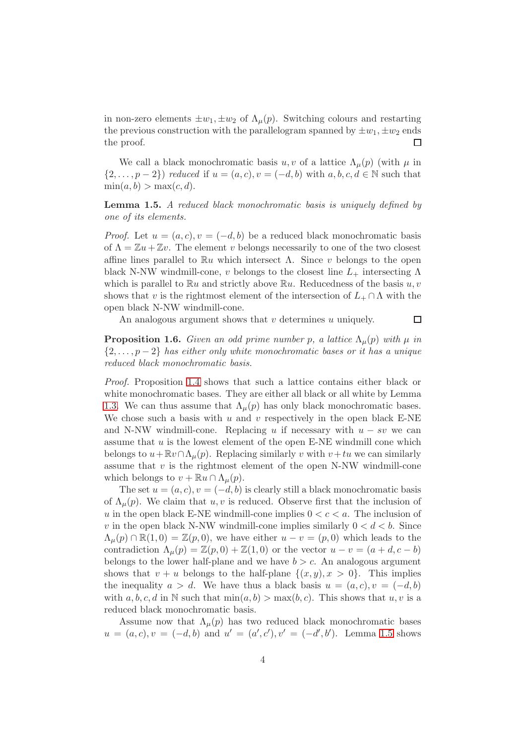in non-zero elements  $\pm w_1, \pm w_2$  of  $\Lambda_\mu(p)$ . Switching colours and restarting the previous construction with the parallelogram spanned by  $\pm w_1, \pm w_2$  ends<br>the proof. the proof.

We call a black monochromatic basis  $u, v$  of a lattice  $\Lambda_{\mu}(p)$  (with  $\mu$  in  $\{2,\ldots,p-2\}$  reduced if  $u=(a,c), v=(-d,b)$  with  $a,b,c,d\in\mathbb{N}$  such that  $\min(a, b) > \max(c, d).$ 

<span id="page-3-0"></span>Lemma 1.5. A reduced black monochromatic basis is uniquely defined by one of its elements.

*Proof.* Let  $u = (a, c), v = (-d, b)$  be a reduced black monochromatic basis of  $\Lambda = \mathbb{Z}u + \mathbb{Z}v$ . The element v belongs necessarily to one of the two closest affine lines parallel to  $\mathbb{R}^n$  which intersect  $\Lambda$ . Since v belongs to the open black N-NW windmill-cone, v belongs to the closest line  $L_{+}$  intersecting  $\Lambda$ which is parallel to  $\mathbb{R}u$  and strictly above  $\mathbb{R}u$ . Reducedness of the basis  $u, v$ shows that v is the rightmost element of the intersection of  $L_+ \cap \Lambda$  with the open black N-NW windmill-cone.

An analogous argument shows that  $v$  determines  $u$  uniquely.

 $\Box$ 

<span id="page-3-1"></span>**Proposition 1.6.** Given an odd prime number p, a lattice  $\Lambda_{\mu}(p)$  with  $\mu$  in  $\{2,\ldots,p-2\}$  has either only white monochromatic bases or it has a unique reduced black monochromatic basis.

Proof. Proposition [1.4](#page-2-0) shows that such a lattice contains either black or white monochromatic bases. They are either all black or all white by Lemma [1.3.](#page-2-1) We can thus assume that  $\Lambda_{\mu}(p)$  has only black monochromatic bases. We chose such a basis with  $u$  and  $v$  respectively in the open black E-NE and N-NW windmill-cone. Replacing u if necessary with  $u - sv$  we can assume that  $u$  is the lowest element of the open E-NE windmill cone which belongs to  $u+\mathbb{R}v\cap\Lambda_\mu(p)$ . Replacing similarly v with  $v+tu$  we can similarly assume that  $v$  is the rightmost element of the open N-NW windmill-cone which belongs to  $v + \mathbb{R}u \cap \Lambda_\mu(p)$ .

The set  $u = (a, c), v = (-d, b)$  is clearly still a black monochromatic basis of  $\Lambda_u(p)$ . We claim that u, v is reduced. Observe first that the inclusion of u in the open black E-NE windmill-cone implies  $0 < c < a$ . The inclusion of v in the open black N-NW windmill-cone implies similarly  $0 < d < b$ . Since  $\Lambda_u(p) \cap \mathbb{R}(1,0) = \mathbb{Z}(p,0)$ , we have either  $u - v = (p,0)$  which leads to the contradiction  $\Lambda_u(p) = \mathbb{Z}(p,0) + \mathbb{Z}(1,0)$  or the vector  $u - v = (a + d, c - b)$ belongs to the lower half-plane and we have  $b > c$ . An analogous argument shows that  $v + u$  belongs to the half-plane  $\{(x, y), x > 0\}$ . This implies the inequality  $a > d$ . We have thus a black basis  $u = (a, c), v = (-d, b)$ with  $a, b, c, d$  in N such that  $\min(a, b) > \max(b, c)$ . This shows that  $u, v$  is a reduced black monochromatic basis.

Assume now that  $\Lambda_{\mu}(p)$  has two reduced black monochromatic bases  $u = (a, c), v = (-d, b)$  and  $u' = (a', c'), v' = (-d', b')$ . Lemma [1.5](#page-3-0) shows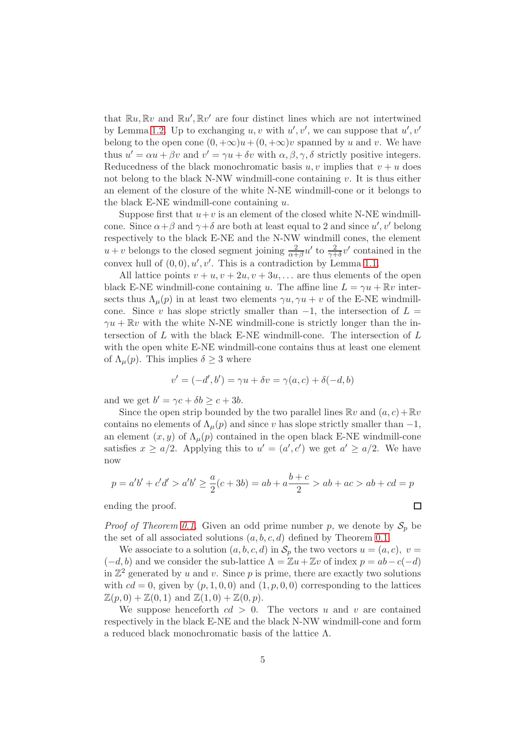that  $\mathbb{R}u, \mathbb{R}v$  and  $\mathbb{R}u', \mathbb{R}v'$  are four distinct lines which are not intertwined by Lemma [1.2.](#page-1-1) Up to exchanging  $u, v$  with  $u', v'$ , we can suppose that  $u', v'$ belong to the open cone  $(0, +\infty)u+(0, +\infty)v$  spanned by u and v. We have thus  $u' = \alpha u + \beta v$  and  $v' = \gamma u + \delta v$  with  $\alpha, \beta, \gamma, \delta$  strictly positive integers. Reducedness of the black monochromatic basis  $u, v$  implies that  $v + u$  does not belong to the black N-NW windmill-cone containing  $v$ . It is thus either an element of the closure of the white N-NE windmill-cone or it belongs to the black E-NE windmill-cone containing  $u$ .

Suppose first that  $u+v$  is an element of the closed white N-NE windmillcone. Since  $\alpha + \beta$  and  $\gamma + \delta$  are both at least equal to 2 and since  $u', v'$  belong respectively to the black E-NE and the N-NW windmill cones, the element  $u + v$  belongs to the closed segment joining  $\frac{2}{\alpha + \beta} u'$  to  $\frac{2}{\gamma + \delta} v'$  contained in the convex hull of  $(0,0), u', v'$ . This is a contradiction by Lemma [1.1.](#page-1-2)

All lattice points  $v + u$ ,  $v + 2u$ ,  $v + 3u$ , ... are thus elements of the open black E-NE windmill-cone containing u. The affine line  $L = \gamma u + \mathbb{R}v$  intersects thus  $\Lambda_{\mu}(p)$  in at least two elements  $\gamma u, \gamma u + v$  of the E-NE windmillcone. Since v has slope strictly smaller than  $-1$ , the intersection of  $L =$  $\gamma u + \mathbb{R}v$  with the white N-NE windmill-cone is strictly longer than the intersection of  $L$  with the black E-NE windmill-cone. The intersection of  $L$ with the open white E-NE windmill-cone contains thus at least one element of  $\Lambda_{\mu}(p)$ . This implies  $\delta \geq 3$  where

$$
v' = (-d', b') = \gamma u + \delta v = \gamma(a, c) + \delta(-d, b)
$$

and we get  $b' = \gamma c + \delta b \ge c + 3b$ .

Since the open strip bounded by the two parallel lines  $\mathbb{R}v$  and  $(a, c) + \mathbb{R}v$ contains no elements of  $\Lambda_u(p)$  and since v has slope strictly smaller than  $-1$ , an element  $(x, y)$  of  $\Lambda_{\mu}(p)$  contained in the open black E-NE windmill-cone satisfies  $x \ge a/2$ . Applying this to  $u' = (a', c')$  we get  $a' \ge a/2$ . We have now

$$
p = a'b' + c'd' > a'b' \ge \frac{a}{2}(c+3b) = ab + a\frac{b+c}{2} > ab + ac > ab + cd = p
$$

ending the proof.

*Proof of Theorem [0.1.](#page-0-2)* Given an odd prime number p, we denote by  $S_p$  be the set of all associated solutions  $(a, b, c, d)$  defined by Theorem [0.1.](#page-0-2)

We associate to a solution  $(a, b, c, d)$  in  $S_p$  the two vectors  $u = (a, c), v =$  $(-d, b)$  and we consider the sub-lattice  $\Lambda = \mathbb{Z}u + \mathbb{Z}v$  of index  $p = ab - c(-d)$ in  $\mathbb{Z}^2$  generated by u and v. Since p is prime, there are exactly two solutions with  $cd = 0$ , given by  $(p, 1, 0, 0)$  and  $(1, p, 0, 0)$  corresponding to the lattices  $\mathbb{Z}(p, 0) + \mathbb{Z}(0, 1)$  and  $\mathbb{Z}(1, 0) + \mathbb{Z}(0, p)$ .

We suppose henceforth  $cd > 0$ . The vectors u and v are contained respectively in the black E-NE and the black N-NW windmill-cone and form a reduced black monochromatic basis of the lattice Λ.

 $\Box$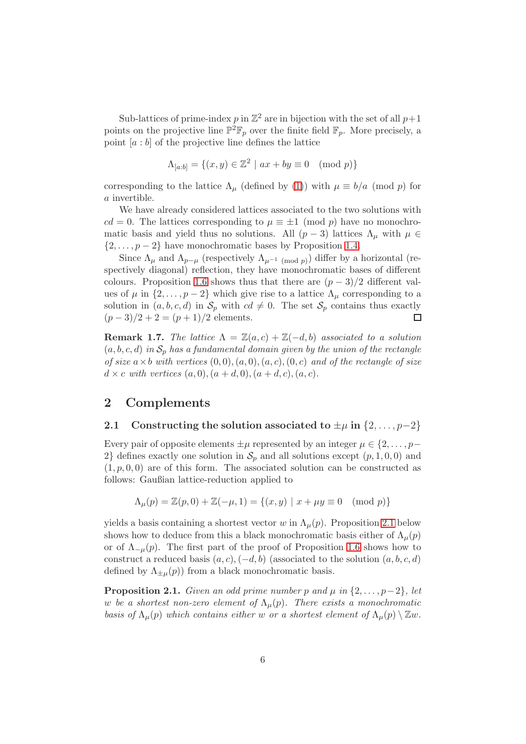Sub-lattices of prime-index  $p$  in  $\mathbb{Z}^2$  are in bijection with the set of all  $p+1$ points on the projective line  $\mathbb{P}^2 \mathbb{F}_p$  over the finite field  $\mathbb{F}_p$ . More precisely, a point  $[a:b]$  of the projective line defines the lattice

$$
\Lambda_{[a:b]} = \{(x,y) \in \mathbb{Z}^2 \mid ax + by \equiv 0 \pmod{p}\}
$$

corresponding to the lattice  $\Lambda_{\mu}$  (defined by [\(1\)](#page-2-2)) with  $\mu \equiv b/a \pmod{p}$  for a invertible.

We have already considered lattices associated to the two solutions with  $cd = 0$ . The lattices corresponding to  $\mu \equiv \pm 1 \pmod{p}$  have no monochromatic basis and yield thus no solutions. All  $(p-3)$  lattices  $\Lambda_{\mu}$  with  $\mu \in$  $\{2,\ldots,p-2\}$  have monochromatic bases by Proposition [1.4.](#page-2-0)

Since  $\Lambda_{\mu}$  and  $\Lambda_{p-\mu}$  (respectively  $\Lambda_{\mu^{-1} \pmod{p}}$ ) differ by a horizontal (respectively diagonal) reflection, they have monochromatic bases of different colours. Proposition [1.6](#page-3-1) shows thus that there are  $(p-3)/2$  different values of  $\mu$  in  $\{2,\ldots,p-2\}$  which give rise to a lattice  $\Lambda_{\mu}$  corresponding to a solution in  $(a, b, c, d)$  in  $S_p$  with  $cd \neq 0$ . The set  $S_p$  contains thus exactly  $(p-3)/2 + 2 = (p+1)/2$  elements.  $(p-3)/2 + 2 = (p+1)/2$  elements.

**Remark 1.7.** The lattice  $\Lambda = \mathbb{Z}(a, c) + \mathbb{Z}(-d, b)$  associated to a solution  $(a, b, c, d)$  in  $S_p$  has a fundamental domain given by the union of the rectangle of size  $a \times b$  with vertices  $(0, 0), (a, 0), (a, c), (0, c)$  and of the rectangle of size  $d \times c$  with vertices  $(a, 0), (a + d, 0), (a + d, c), (a, c).$ 

# 2 Complements

### <span id="page-5-1"></span>2.1 Constructing the solution associated to  $\pm \mu$  in  $\{2, \ldots, p-2\}$

Every pair of opposite elements  $\pm \mu$  represented by an integer  $\mu \in \{2, \ldots, p-\}$ 2} defines exactly one solution in  $\mathcal{S}_p$  and all solutions except  $(p, 1, 0, 0)$  and  $(1, p, 0, 0)$  are of this form. The associated solution can be constructed as follows: Gaußian lattice-reduction applied to

$$
\Lambda_\mu(p)=\mathbb{Z}(p,0)+\mathbb{Z}(-\mu,1)=\{(x,y)\ |\ x+\mu y\equiv 0\pmod{p}\}
$$

yields a basis containing a shortest vector w in  $\Lambda_{\mu}(p)$ . Proposition [2.1](#page-5-0) below shows how to deduce from this a black monochromatic basis either of  $\Lambda_\mu(p)$ or of  $\Lambda_{-\mu}(p)$ . The first part of the proof of Proposition [1.6](#page-3-1) shows how to construct a reduced basis  $(a, c), (-d, b)$  (associated to the solution  $(a, b, c, d)$ defined by  $\Lambda_{\pm\mu}(p)$  from a black monochromatic basis.

<span id="page-5-0"></span>**Proposition 2.1.** Given an odd prime number p and  $\mu$  in  $\{2, \ldots, p-2\}$ , let w be a shortest non-zero element of  $\Lambda_{\mu}(p)$ . There exists a monochromatic basis of  $\Lambda_{\mu}(p)$  which contains either w or a shortest element of  $\Lambda_{\mu}(p) \setminus \mathbb{Z}w$ .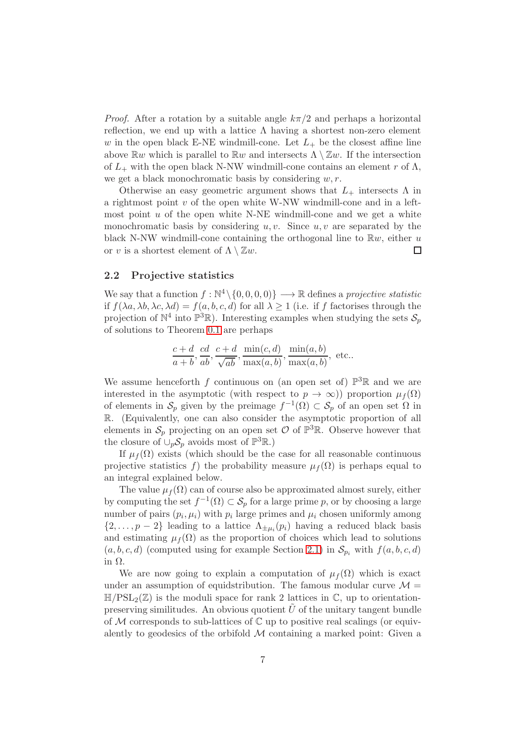*Proof.* After a rotation by a suitable angle  $k\pi/2$  and perhaps a horizontal reflection, we end up with a lattice  $\Lambda$  having a shortest non-zero element w in the open black E-NE windmill-cone. Let  $L_{+}$  be the closest affine line above  $\mathbb{R}w$  which is parallel to  $\mathbb{R}w$  and intersects  $\Lambda \setminus \mathbb{Z}w$ . If the intersection of  $L_+$  with the open black N-NW windmill-cone contains an element r of  $\Lambda$ , we get a black monochromatic basis by considering  $w, r$ .

Otherwise an easy geometric argument shows that  $L_{+}$  intersects  $\Lambda$  in a rightmost point  $v$  of the open white W-NW windmill-cone and in a leftmost point  $u$  of the open white N-NE windmill-cone and we get a white monochromatic basis by considering  $u, v$ . Since  $u, v$  are separated by the black N-NW windmill-cone containing the orthogonal line to  $\mathbb{R}w$ , either u or v is a shortest element of  $\Lambda \setminus \mathbb{Z}w$ .  $\Box$ 

### 2.2 Projective statistics

We say that a function  $f : \mathbb{N}^4 \setminus \{0, 0, 0, 0\} \longrightarrow \mathbb{R}$  defines a *projective statistic* if  $f(\lambda a, \lambda b, \lambda c, \lambda d) = f(a, b, c, d)$  for all  $\lambda \geq 1$  (i.e. if f factorises through the projection of  $\mathbb{N}^4$  into  $\mathbb{P}^3\mathbb{R}$ ). Interesting examples when studying the sets  $\mathcal{S}_p$ of solutions to Theorem [0.1](#page-0-2) are perhaps

$$
\frac{c+d}{a+b}, \frac{cd}{ab}, \frac{c+d}{\sqrt{ab}}, \frac{\min(c,d)}{\max(a,b)}, \frac{\min(a,b)}{\max(a,b)}, \text{ etc.}.
$$

We assume henceforth f continuous on (an open set of)  $\mathbb{P}^3\mathbb{R}$  and we are interested in the asymptotic (with respect to  $p \to \infty$ )) proportion  $\mu_f(\Omega)$ of elements in  $S_p$  given by the preimage  $f^{-1}(\Omega) \subset S_p$  of an open set  $\Omega$  in R. (Equivalently, one can also consider the asymptotic proportion of all elements in  $S_p$  projecting on an open set  $\mathcal O$  of  $\mathbb P^3\mathbb R$ . Observe however that the closure of  $\cup_p \mathcal{S}_p$  avoids most of  $\mathbb{P}^3 \mathbb{R}$ .)

If  $\mu_f(\Omega)$  exists (which should be the case for all reasonable continuous projective statistics f) the probability measure  $\mu_f(\Omega)$  is perhaps equal to an integral explained below.

The value  $\mu_f(\Omega)$  can of course also be approximated almost surely, either by computing the set  $f^{-1}(\Omega) \subset \mathcal{S}_p$  for a large prime p, or by choosing a large number of pairs  $(p_i, \mu_i)$  with  $p_i$  large primes and  $\mu_i$  chosen uniformly among  $\{2,\ldots,p-2\}$  leading to a lattice  $\Lambda_{\pm\mu_i}(p_i)$  having a reduced black basis and estimating  $\mu_f(\Omega)$  as the proportion of choices which lead to solutions  $(a, b, c, d)$  (computed using for example Section [2.1\)](#page-5-1) in  $\mathcal{S}_{p_i}$  with  $f(a, b, c, d)$ in Ω.

We are now going to explain a computation of  $\mu_f(\Omega)$  which is exact under an assumption of equidstribution. The famous modular curve  $\mathcal{M} =$  $\mathbb{H}/PSL_2(\mathbb{Z})$  is the moduli space for rank 2 lattices in  $\mathbb{C}$ , up to orientationpreserving similitudes. An obvious quotient  $U$  of the unitary tangent bundle of  $\mathcal M$  corresponds to sub-lattices of  $\mathbb C$  up to positive real scalings (or equivalently to geodesics of the orbifold  $M$  containing a marked point: Given a